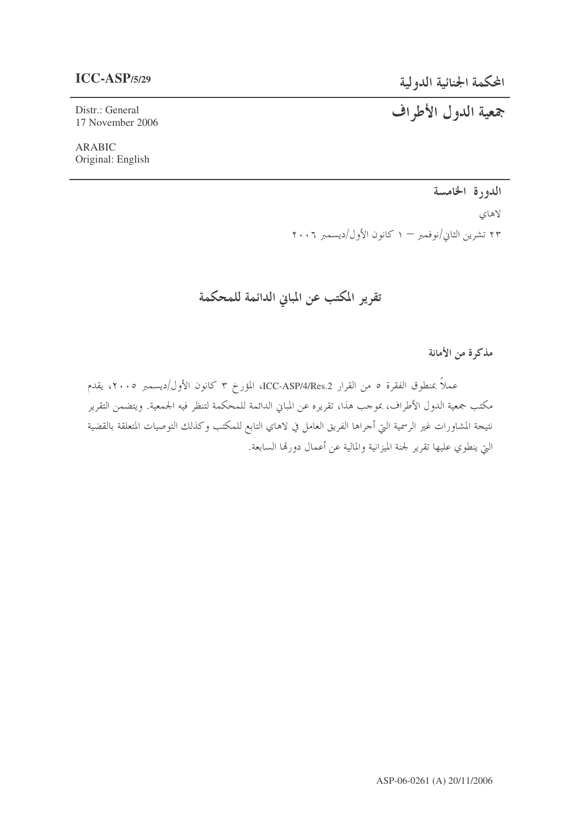## $ICC-ASP/5/29$

المحكمة الجنائية الدولية

جمعية الدول الأطراف

Distr.: General 17 November 2006

**ARABIC** Original: English

الدورة الخامسة

لاهاى ٢٣ تشرين الثاني/نوفمبر – ١ كانون الأول/ديسمبر ٢٠٠٦

تقرير المكتب عن المباني الدائمة للمحكمة

مذكرة من الأمانة

عملاً بمنطوق الفقرة ٥ من القرار ICC-ASP/4/Res.2، المؤرخ ٣ كانون الأول/ديسمبر ٢٠٠٥، يقدم مكتب جمعية الدول الأطراف، بموجب هذا، تقريره عن المباين الدائمة للمحكمة لتنظر فيه الجمعية. ويتضمن التقرير نتيجة المشاورات غير الرسمية التي أجراها الفريق العامل في لاهاي التابع للمكتب وكذلك التوصيات المتعلقة بالقضية التي ينطوي عليها تقرير لجنة الميزانية والمالية عن أعمال دورتها السابعة.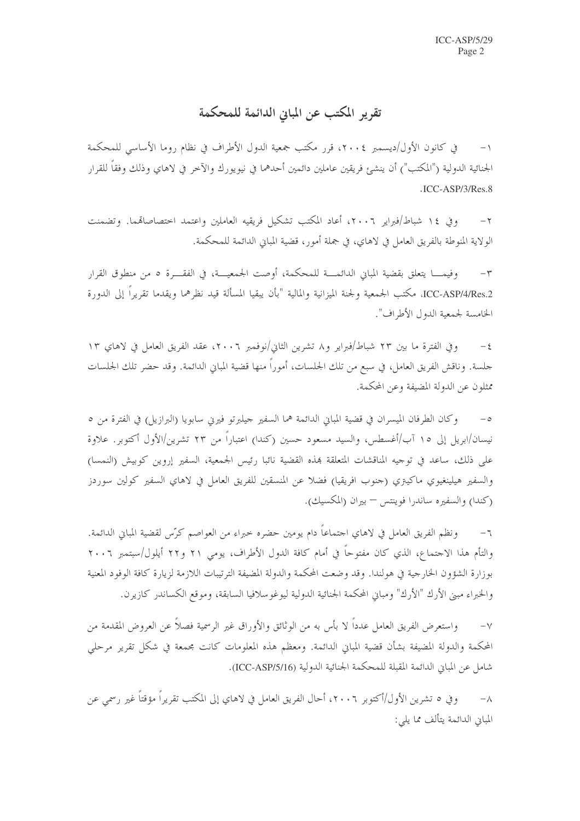تقرير المكتب عن المبايي الدائمة للمحكمة

في كانون الأول/ديسمبر ٢٠٠٤، قرر مكتب جمعية الدول الأطراف في نظام روما الأساسي للمحكمة الجنائية الدولية ("المكتب") أن ينشئ فريقين عاملين دائمين أحدهما في نيويورك والآخر في لاهاي وذلك وفقاً للقرار .ICC-ASP/3/Res.8

وفي ١٤ شباط/فيراير ٢٠٠٦، أعاد المكتب تشكيل فريقيه العاملين واعتمد احتصاصاقمما. وتضمنت  $-\tau$ الولاية المنوطة بالفريق العامل في لاهاي، في جملة أمور، قضية المباني الدائمة للمحكمة.

وفيمــــا يتعلق بقضية المباني الدائمــــة للمحكمة، أوصت الجمعيـــة، في الفقـــرة ٥ من منطوق القرار  $-\tau$ ICC-ASP/4/Res.2، مكتب الجمعية ولجنة الميزانية والمالية "بأن يبقيا المسألة قيد نظرهما ويقدما تقريراً إلى الدورة الخامسة لجمعية الدول الأطراف".

وفي الفترة ما بين ٢٣ شباط/فبراير و٨ تشرين الثاني/نوفمبر ٢٠٠٦، عقد الفريق العامل في لاهاي ١٣  $-\,\xi$ حلسة. وناقش الفريق العامل، في سبع من تلك الجلسات، أموراً منها قضية المباني الدائمة. وقد حضر تلك الجلسات ممثلون عن الدولة المضيفة وعن المحكمة.

وكان الطرفان الميسران في قضية المباني الدائمة هما السفير جيلبرتو فيرين سابويا (البرازيل) في الفترة من ٥  $-\circ$ نيسان/ابريل إلى ١٥ آب/أغسطس، والسيد مسعود حسين (كندا) اعتباراً من ٢٣ تشرين/الأول أكتوبر. علاوة على ذلك، ساعد في توجيه المناقشات المتعلقة بمذه القضية نائبا رئيس الجمعية، السفير إروين كوبيش (النمسا) والسفير هيلينغيوي ماكيتري (جنوب افريقيا) فضلاً عن المنسقين للفريق العامل في لاهاي السفير كولين سوردز (كندا) والسفيره ساندرا فوينتس – بيران (المكسيك).

ونظم الفريق العامل في لاهاي اجتماعاً دام يومين حضره حبراء من العواصم كرّس لقضية المباين الدائمة.  $-7$ والتأم هذا الاحتماع، الذي كان مفتوحاً في أمام كافة الدول الأطراف، يومي ٢١ و٢٢ أيلول/سبتمبر ٢٠٠٦ بوزارة الشؤون الخارجية في هولندا. وقد وضعت المحكمة والدولة المضيفة الترتيبات اللازمة لزيارة كافة الوفود المعنية والخبراء مبين الأرك "الأرك" ومبايي المحكمة الجنائية الدولية ليوغو سلافيا السابقة، وموقع الكساندر كازيرن.

واستعرض الفريق العامل عدداً لا بأس به من الوثائق والأوراق غير الرسمية فصلاً عن العروض المقدمة من  $-\vee$ المحكمة والدولة المضيفة بشأن قضية المباين الدائمة. ومعظم هذه المعلومات كانت مجمعة في شكل تقرير مرحلي شامل عن المباني الدائمة المقبلة للمحكمة الجنائية الدولية (ICC-ASP/5/16).

وفي ٥ تشرين الأول/أكتوبر ٢٠٠٦، أحال الفريق العامل في لاهاي إلى المكتب تقريراً مؤقتاً غير رسمي عن  $-\lambda$ المبايي الدائمة يتألف مما يلي: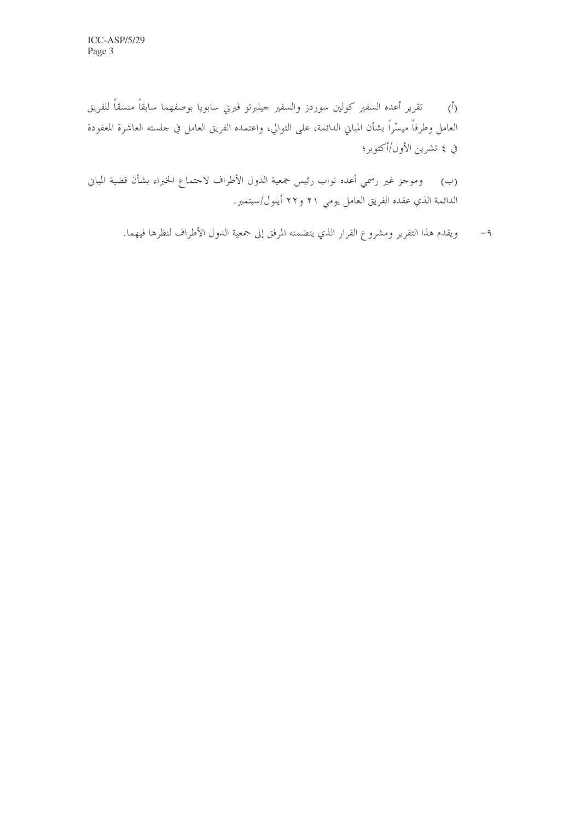(أ) تقرير أعده السفير كولين سوردز والسفير جيلبرتو فيرىي سابويا بوصفهما سابقاً منسقاً للفريق العامل وطرفاً ميسّراً بشأن المباني الدائمة، على التوالي، واعتمده الفريق العامل في حلسته العاشرة المعقودة في ٤ تشرين الأول/أكتوبر؛

وموجز غير رسمي أعده نواب رئيس جمعية الدول الأطراف لاحتماع الخبراء بشأن قضية المباني  $(\hookrightarrow)$ الدائمة الذي عقده الفريق العامل يومي ٢١ و٢٢ أيلول/سبتمبر.

٩– ويقدم هذا التقرير ومشروع القرار الذي يتضمنه المرفق إلى جمعية الدول الأطراف لنظرها فيهما.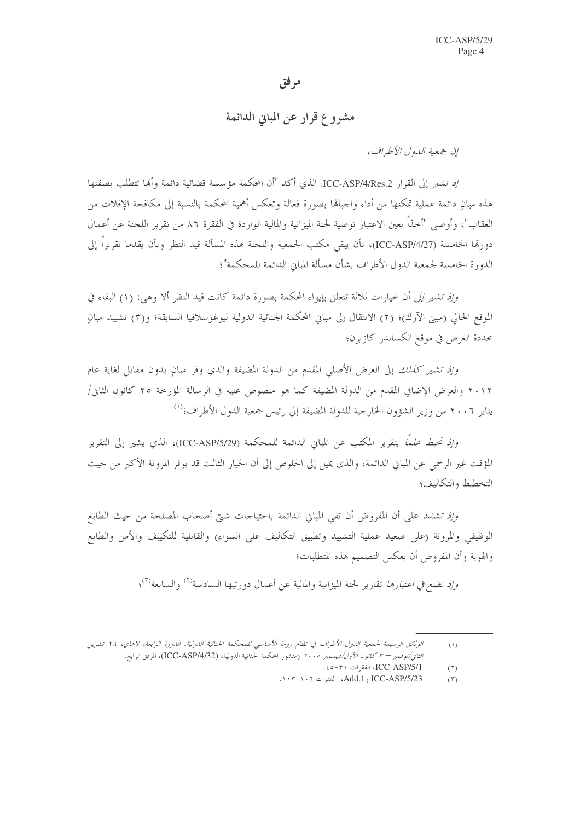## مر فق

## مشروع قرار عن المباين الدائمة

إن جمعية اللهول الأطراف،

إِذْ تَشْيَرِ إِلَى الْقِرَارِ ICC-ASP/4/Res.2، الذي أكد "أن المحكمة مؤسسة قضائية دائمة وأَلِها تتطلب بصفتها هذه مبانِ دائمة عملية تمكنها من أداء واجبالها بصورة فعالة وتعكس أهمية المحكمة بالنسبة إلى مكافحة الإفلات من العقاب"، وأوصى "أخذاً بعين الاعتبار توصية لجنة الميزانية والمالية الواردة في الفقرة ٨٦ من تقرير اللجنة عن أعمال دورقما الخامسة (ICC-ASP/4/27)، بأن يبقى مكتب الجمعية واللجنة هذه المسألة قيد النظر وبأن يقدما تقريراً إلى الدورة الخامسة لجمعية الدول الأطراف بشأن مسألة المباني الدائمة للمحكمة"؛

وإنه تشير إلى أن حيارات ثلاثة تتعلق بإيواء المحكمة بصورة دائمة كانت قيد النظر ألا وهي: (١) البقاء في الموقع الحالي (ميني الآرك)؛ (٢) الانتقال إلى مباني المحكمة الجنائية الدولية ليوغوسلافيا السابقة؛ و(٣) تشييد مبان محددة الغرض في موقع الكساندر كازيرن؛

وإِذِ تشير كَ*نالك* إلى العرض الأصلي المقدم من الدولة المضيفة والذي وفر مبانٍ بدون مقابل لغاية عام ٢٠١٢ والعرض الإضافي المقدم من الدولة المضيفة كما هو منصوص عليه في الرسالة المؤرخة ٢٥ كانون الثاني/ يناير ٢٠٠٦ من وزير الشؤون الخارجية للدولة المضيفة إلى رئيس جمعية الدول الأطراف؛'')

و*إذ تحيط علماً* بتقرير المكتب عن المباني الدائمة للمحكمة (ICC-ASP/5/29)، الذي يشير إلى التقرير المؤقت غير الرسمي عن المباني الدائمة، والذي يميل إلى الخلوص إلى أن الخيار الثالث قد يوفر المرونة الأكبر من حيث التخطيط والتكاليف؛

*وإذ تشدد ع*لى أن المفروض أن تفي المباني الدائمة باحتياحات شتى أصحاب المصلحة من حيث الطابع الوظيفي والمرونة (على صعيد عملية التشييد وتطبيق التكاليف على السواء) والقابلية للتكييف والأمن والطابع والهوية وأن المفروض أن يعكس التصميم هذه المتطلبات؛

و*إذ تضع في اعتبارها* تقارير لجنة الميزانية والمالية عن أعمال دورتيها السادسة<sup>(٢)</sup> والسابعة<sup>(٣)</sup>؛

الوثائق الرسيمة لجمعية الدول الأطراف في نظام روما الأساسي للمحكمة الجنائية الدولية، الدورة الرابعة، لاهاي، ٢٨ تشرين  $($  \rangle) ا*لثاني/نوفممبر - ٣ كانون الأول/ديسمبر ٢٠٠٥* (منشور المحكمة الجنائية الدولية، (ICC-ASP/4/32)، المرفق الرابع.

ICC-ASP/5/1. الفقرات ٢١-٥٥.  $(7)$ 

Add.1, ICC-ASP/5/23، الفقرات ١٠٦-١١٣.  $(\Upsilon)$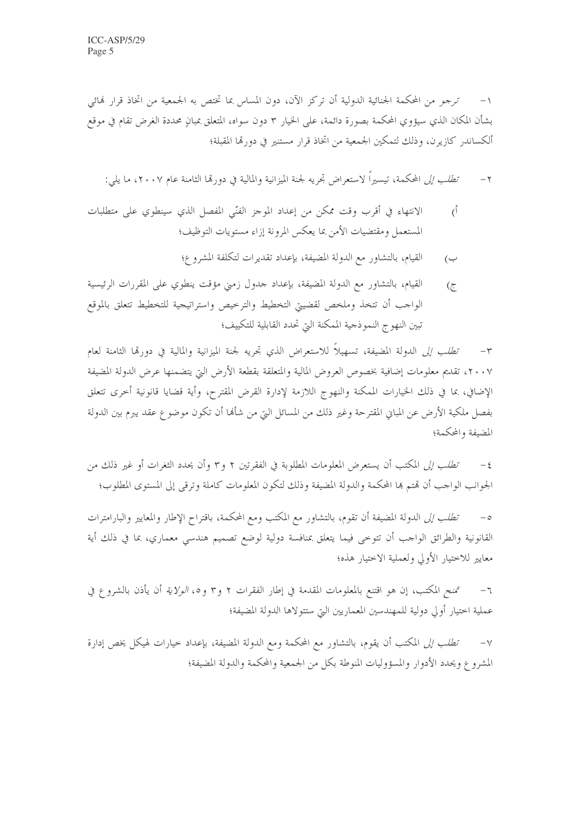ترجمو من المحكمة الجنائية الدولية أن تركز الآن، دون المساس بما تختص به الجمعية من اتخاذ قرار فمائي بشأن المكان الذي سيؤوي المحكمة بصورة دائمة، على الخيار ٣ دون سواه، المتعلق بمبانٍ محددة الغرض تقام في موقع أَلْكِسانِدِر كازِيرِن، وذلك لتمكين الجمعية من اتخاذ قرار مستنير في دورتما المقبلة؛

ت*طلب إلى* المحكمة، تيسيراً لاستعراض تجريه لجنة الميزانية والمالية في دورتما الثامنة عام ٢٠٠٧، ما يل<sub>ى</sub>:  $-\tau$ 

- الانتهاء في أقرب وقت ممكن من إعداد الموجز الفنّي المفصل الذي سينطوي على متطلبات  $\zeta$ المستعمل ومقتضيات الأمن بما يعكس المرونة إزاء مستويات التوظيف؛
	- القيام، بالتشاور مع الدولة المضيفة، بإعداد تقديرات لتكلفة المشروع؛  $\overline{(\overline{\phantom{0}})}$
- القيام، بالتشاور مع الدولة المضيفة، بإعداد حدول زمني مؤقت ينطوي على المقررات الرئيسية  $\overline{\mathcal{C}}$ الواحب أن تتخذ وملخص لقضيتي التخطيط والترخيص واستراتيجية للتخطيط تتعلق بالموقع تبين النهو ج النموذجية الممكنة التي تحدد القابلية للتكييف؛

٣– *تطلب إلى* الدولة المضيفة، تسهيلاً للاستعراض الذي تجريه لجنة الميزانية والمالية في دورتما الثامنة لعام ٢٠٠٧، تقديم معلومات إضافية بخصوص العروض المالية والمتعلقة بقطعة الأرض التي يتضمنها عرض الدولة المضيفة الإضافي، بما في ذلك الخيارات الممكنة والنهوج اللازمة لإدارة القرض المقترح، وأية قضايا قانونية أخرى تتعلق بفصل ملكية الأرض عن المبابي المقترحة وغير ذلك من المسائل التي من شألها أن تكون موضوع عقد يبرم بين الدولة المضيفة والمحكمة؛

تُطِّلبِ إلى المكتب أن يستعرض المعلومات المطلوبة في الفقرتين ٢ و٢ وأن يحدد الثغرات أو غير ذلك من الجوانب الواجب أن قمتم ها المحكمة والدولة المضيفة وذلك لتكون المعلومات كاملة وترقى إلى المستوى المطلوب؛

تطلب إلى الدولة المضيفة أن تقوم، بالتشاور مع المكتب ومع المحكمة، باقتراح الإطار والمعايير والبارامترات  $-\circ$ القانونية والطرائق الواحب أن تتوخى فيما يتعلق بمنافسة دولية لوضع تصميم هندسي معماري، بما في ذلك أية معايير للاختيار الأولي ولعملية الاختيار هذه؛

تمنح المكتب، إن هو اقتنع بالمعلومات المقدمة في إطار الفقرات ٢ و٣ و٥، *الولاية* أن يأذن بالشروع في  $-7$ عملية اختيار أولى دولية للمهندسين المعماريين التي ستتولاها الدولة المضيفة؛

*تطلب إلى* المكتب أن يقوم، بالتشاور مع المحكمة ومع الدولة المضيفة، بإعداد حيارات لهيكل يخص إدارة  $-\vee$ المشروع ويحدد الأدوار والمسؤوليات المنوطة بكل من الجمعية والمحكمة والدولة المضيفة؛